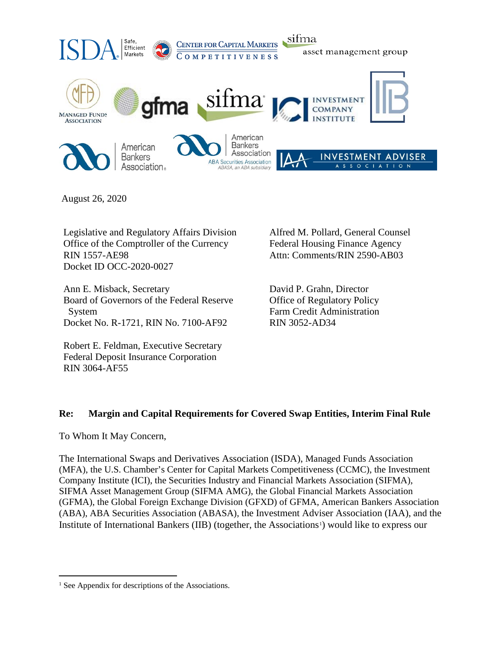

August 26, 2020

Legislative and Regulatory Affairs Division Office of the Comptroller of the Currency RIN 1557-AE98 Docket ID OCC-2020-0027

Ann E. Misback, Secretary Board of Governors of the Federal Reserve System Docket No. R-1721, RIN No. 7100-AF92

Robert E. Feldman, Executive Secretary Federal Deposit Insurance Corporation RIN 3064-AF55

Alfred M. Pollard, General Counsel Federal Housing Finance Agency Attn: Comments/RIN 2590-AB03

David P. Grahn, Director Office of Regulatory Policy Farm Credit Administration RIN 3052-AD34

## **Re: Margin and Capital Requirements for Covered Swap Entities, Interim Final Rule**

To Whom It May Concern,

The International Swaps and Derivatives Association (ISDA), Managed Funds Association (MFA), the U.S. Chamber's Center for Capital Markets Competitiveness (CCMC), the Investment Company Institute (ICI), the Securities Industry and Financial Markets Association (SIFMA), SIFMA Asset Management Group (SIFMA AMG), the Global Financial Markets Association (GFMA), the Global Foreign Exchange Division (GFXD) of GFMA, American Bankers Association (ABA), ABA Securities Association (ABASA), the Investment Adviser Association (IAA), and the Institute of International Bankers (IIB) (together, the Associations<sup>1</sup>) would like to express our

<span id="page-0-0"></span><sup>&</sup>lt;sup>1</sup> See Appendix for descriptions of the Associations.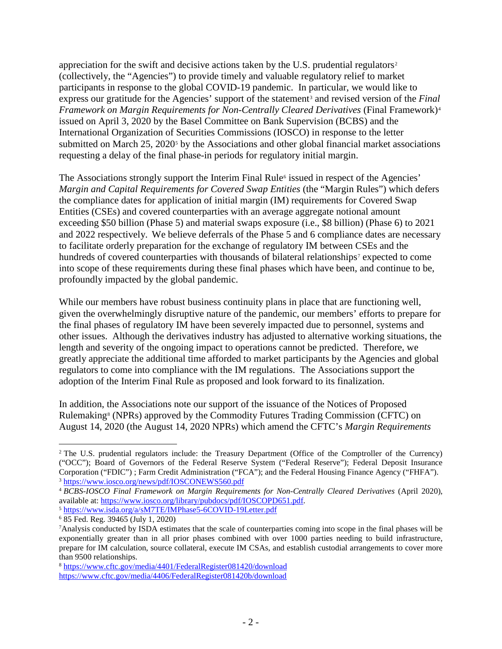appreciation for the swift and decisive actions taken by the U.S. prudential regulators<sup>[2](#page-1-0)</sup> (collectively, the "Agencies") to provide timely and valuable regulatory relief to market participants in response to the global COVID-19 pandemic. In particular, we would like to express our gratitude for the Agencies' support of the statement<sup>[3](#page-1-1)</sup> and revised version of the *Final Framework on Margin Requirements for Non-Centrally Cleared Derivatives* (Final Framework)<sup>[4](#page-1-2)</sup> issued on April 3, 2020 by the Basel Committee on Bank Supervision (BCBS) and the International Organization of Securities Commissions (IOSCO) in response to the letter submitted on March  $25$  $25$ ,  $2020<sup>5</sup>$  by the Associations and other global financial market associations requesting a delay of the final phase-in periods for regulatory initial margin.

The Associations strongly support the Interim Final Rule<sup>[6](#page-1-4)</sup> issued in respect of the Agencies' *Margin and Capital Requirements for Covered Swap Entities* (the "Margin Rules") which defers the compliance dates for application of initial margin (IM) requirements for Covered Swap Entities (CSEs) and covered counterparties with an average aggregate notional amount exceeding \$50 billion (Phase 5) and material swaps exposure (i.e., \$8 billion) (Phase 6) to 2021 and 2022 respectively. We believe deferrals of the Phase 5 and 6 compliance dates are necessary to facilitate orderly preparation for the exchange of regulatory IM between CSEs and the hundreds of covered counterparties with thousands of bilateral relationships<sup>[7](#page-1-5)</sup> expected to come into scope of these requirements during these final phases which have been, and continue to be, profoundly impacted by the global pandemic.

While our members have robust business continuity plans in place that are functioning well, given the overwhelmingly disruptive nature of the pandemic, our members' efforts to prepare for the final phases of regulatory IM have been severely impacted due to personnel, systems and other issues. Although the derivatives industry has adjusted to alternative working situations, the length and severity of the ongoing impact to operations cannot be predicted. Therefore, we greatly appreciate the additional time afforded to market participants by the Agencies and global regulators to come into compliance with the IM regulations. The Associations support the adoption of the Interim Final Rule as proposed and look forward to its finalization.

In addition, the Associations note our support of the issuance of the Notices of Proposed Rulemaking[8](#page-1-6) (NPRs) approved by the Commodity Futures Trading Commission (CFTC) on August 14, 2020 (the August 14, 2020 NPRs) which amend the CFTC's *Margin Requirements* 

<span id="page-1-0"></span> <sup>2</sup> The U.S. prudential regulators include: the Treasury Department (Office of the Comptroller of the Currency) ("OCC"); Board of Governors of the Federal Reserve System ("Federal Reserve"); Federal Deposit Insurance Corporation ("FDIC") ; Farm Credit Administration ("FCA"); and the Federal Housing Finance Agency ("FHFA"). <sup>3</sup> <https://www.iosco.org/news/pdf/IOSCONEWS560.pdf>

<span id="page-1-2"></span><span id="page-1-1"></span><sup>4</sup> *BCBS-IOSCO Final Framework on Margin Requirements for Non-Centrally Cleared Derivatives* (April 2020), available at: [https://www.iosco.org/library/pubdocs/pdf/IOSCOPD651.pdf.](https://www.iosco.org/library/pubdocs/pdf/IOSCOPD651.pdf)

<span id="page-1-3"></span><sup>5</sup> <https://www.isda.org/a/sM7TE/IMPhase5-6COVID-19Letter.pdf>

<span id="page-1-4"></span><sup>6</sup> 85 Fed. Reg. 39465 (July 1, 2020)

<span id="page-1-5"></span><sup>7</sup>Analysis conducted by ISDA estimates that the scale of counterparties coming into scope in the final phases will be exponentially greater than in all prior phases combined with over 1000 parties needing to build infrastructure, prepare for IM calculation, source collateral, execute IM CSAs, and establish custodial arrangements to cover more than 9500 relationships.

<span id="page-1-6"></span><sup>8</sup> <https://www.cftc.gov/media/4401/FederalRegister081420/download> https://www.cftc.gov/media/4406/FederalRegister081420b/download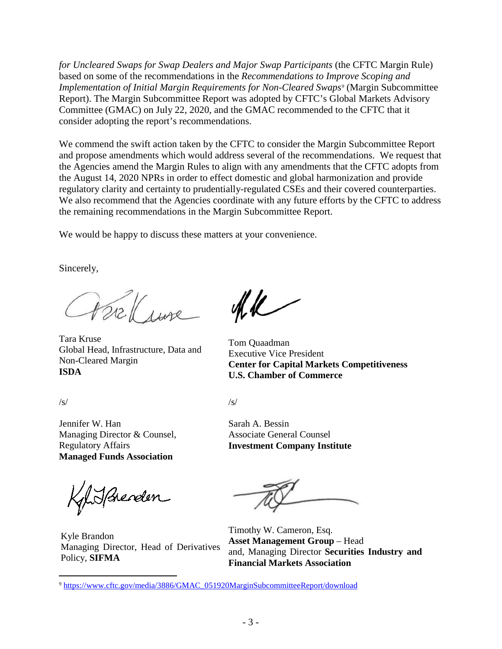*for Uncleared Swaps for Swap Dealers and Major Swap Participants* (the CFTC Margin Rule) based on some of the recommendations in the *Recommendations to Improve Scoping and Implementation of Initial Margin Requirements for Non-Cleared Swaps[9](#page-2-0)* (Margin Subcommittee Report). The Margin Subcommittee Report was adopted by CFTC's Global Markets Advisory Committee (GMAC) on July 22, 2020, and the GMAC recommended to the CFTC that it consider adopting the report's recommendations.

We commend the swift action taken by the CFTC to consider the Margin Subcommittee Report and propose amendments which would address several of the recommendations. We request that the Agencies amend the Margin Rules to align with any amendments that the CFTC adopts from the August 14, 2020 NPRs in order to effect domestic and global harmonization and provide regulatory clarity and certainty to prudentially-regulated CSEs and their covered counterparties. We also recommend that the Agencies coordinate with any future efforts by the CFTC to address the remaining recommendations in the Margin Subcommittee Report.

We would be happy to discuss these matters at your convenience.

Sincerely,

trell ine

Tara Kruse Global Head, Infrastructure, Data and Non-Cleared Margin **ISDA**

/s/

Jennifer W. Han Managing Director & Counsel, Regulatory Affairs **Managed Funds Association**

KylisBrenden

Kyle Brandon Managing Director, Head of Derivatives Policy, **SIFMA**

 $4k$ 

Tom Quaadman Executive Vice President **Center for Capital Markets Competitiveness U.S. Chamber of Commerce**

/s/

Sarah A. Bessin Associate General Counsel **Investment Company Institute**

Timothy W. Cameron, Esq. **Asset Management Group** – Head and, Managing Director **Securities Industry and Financial Markets Association**

<span id="page-2-0"></span> <sup>9</sup> [https://www.cftc.gov/media/3886/GMAC\\_051920MarginSubcommitteeReport/download](https://www.cftc.gov/media/3886/GMAC_051920MarginSubcommitteeReport/download)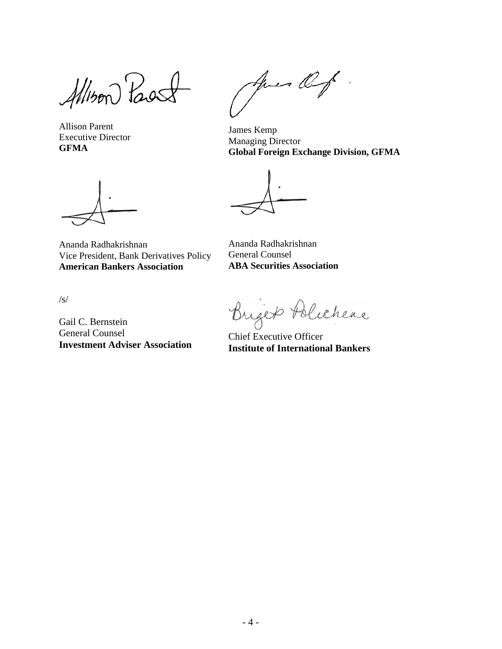Allison Past

Allison Parent Executive Director **GFMA**

Ananda Radhakrishnan Vice President, Bank Derivatives Policy **American Bankers Association**

/s/

Gail C. Bernstein General Counsel **Investment Adviser Association**

Apres Of.

James Kemp Managing Director **Global Foreign Exchange Division, GFMA**

Ananda Radhakrishnan General Counsel **ABA Securities Association**

Briger Polichere

Chief Executive Officer **Institute of International Bankers**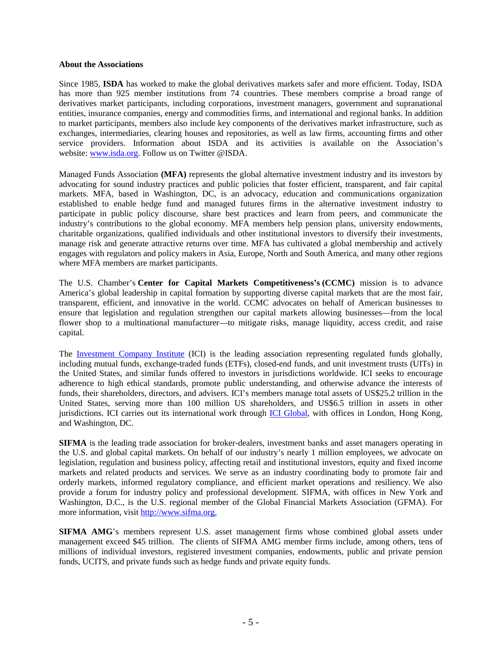## **About the Associations**

Since 1985, **ISDA** has worked to make the global derivatives markets safer and more efficient. Today, ISDA has more than 925 member institutions from 74 countries. These members comprise a broad range of derivatives market participants, including corporations, investment managers, government and supranational entities, insurance companies, energy and commodities firms, and international and regional banks. In addition to market participants, members also include key components of the derivatives market infrastructure, such as exchanges, intermediaries, clearing houses and repositories, as well as law firms, accounting firms and other service providers. Information about ISDA and its activities is available on the Association's website: [www.isda.org.](http://www.isda.org/) Follow us on Twitter @ISDA.

Managed Funds Association **(MFA)** represents the global alternative investment industry and its investors by advocating for sound industry practices and public policies that foster efficient, transparent, and fair capital markets. MFA, based in Washington, DC, is an advocacy, education and communications organization established to enable hedge fund and managed futures firms in the alternative investment industry to participate in public policy discourse, share best practices and learn from peers, and communicate the industry's contributions to the global economy. MFA members help pension plans, university endowments, charitable organizations, qualified individuals and other institutional investors to diversify their investments, manage risk and generate attractive returns over time. MFA has cultivated a global membership and actively engages with regulators and policy makers in Asia, Europe, North and South America, and many other regions where MFA members are market participants.

The U.S. Chamber's **Center for Capital Markets Competitiveness's (CCMC)** mission is to advance America's global leadership in capital formation by supporting diverse capital markets that are the most fair, transparent, efficient, and innovative in the world. CCMC advocates on behalf of American businesses to ensure that legislation and regulation strengthen our capital markets allowing businesses—from the local flower shop to a multinational manufacturer—to mitigate risks, manage liquidity, access credit, and raise capital.

The [Investment Company Institute](https://nam05.safelinks.protection.outlook.com/?url=https%3A%2F%2Furldefense.proofpoint.com%2Fv2%2Furl%3Fu%3Dhttps-3A__www.ici.org_%26d%3DDwMFAg%26c%3DeuGZstcaTDllvimEN8b7jXrwqOf-v5A_CdpgnVfiiMM%26r%3DKU2WbRfgoofCn-gAef_P8Q%26m%3DuT4GxSCemwmf-UNnunNYE9j8WK1vvKg1-i5kEEmnvXI%26s%3D5l_ovMa29Ddd39CfnjpOFqUhh2LuWTKLP_eFRet6Frg%26e%3D&data=02%7C01%7C%7C764b59d428c64dcda9f208d837eac53c%7C157aaf47a05a4f229ee07367b740ec6a%7C0%7C0%7C637320828774330216&sdata=TottceX7w%2FerMerVdLq9TEUe6RvyW54NLFP0dAx87gA%3D&reserved=0) (ICI) is the leading association representing regulated funds globally, including mutual funds, exchange-traded funds (ETFs), closed-end funds, and unit investment trusts (UITs) in the United States, and similar funds offered to investors in jurisdictions worldwide. ICI seeks to encourage adherence to high ethical standards, promote public understanding, and otherwise advance the interests of funds, their shareholders, directors, and advisers. ICI's members manage total assets of US\$25.2 trillion in the United States, serving more than 100 million US shareholders, and US\$6.5 trillion in assets in other jurisdictions. ICI carries out its international work through [ICI Global,](https://nam05.safelinks.protection.outlook.com/?url=https%3A%2F%2Furldefense.proofpoint.com%2Fv2%2Furl%3Fu%3Dhttps-3A__nam05.safelinks.protection.outlook.com_-3Furl-3Dhttps-253A-252F-252Fwww.iciglobal.org-252Ficiglobal-26data-3D02-257C01-257C-257C33593151608348cfccdc08d837bc9892-257C157aaf47a05a4f229ee07367b740ec6a-257C0-257C0-257C637320630452958523-26sdata-3DJ2X9NWWPThrNxeA8q4JKhLtzRwjWlmvkLaBtEY0M9Ks-253D-26reserved-3D0%26d%3DDwMFAg%26c%3DeuGZstcaTDllvimEN8b7jXrwqOf-v5A_CdpgnVfiiMM%26r%3DKU2WbRfgoofCn-gAef_P8Q%26m%3DuT4GxSCemwmf-UNnunNYE9j8WK1vvKg1-i5kEEmnvXI%26s%3D26Rr1nW21Bo5rpW8pkL8uigsg48RQlpRQYm_OhmXtKk%26e%3D&data=02%7C01%7C%7C764b59d428c64dcda9f208d837eac53c%7C157aaf47a05a4f229ee07367b740ec6a%7C0%7C0%7C637320828774330216&sdata=JFaJh45AfK8RoX9zPeZC11kwuhj%2BdrsGavaAHQTu2ZE%3D&reserved=0) with offices in London, Hong Kong, and Washington, DC.

**SIFMA** is the leading trade association for broker-dealers, investment banks and asset managers operating in the U.S. and global capital markets. On behalf of our industry's nearly 1 million employees, we advocate on legislation, regulation and business policy, affecting retail and institutional investors, equity and fixed income markets and related products and services. We serve as an industry coordinating body to promote fair and orderly markets, informed regulatory compliance, and efficient market operations and resiliency. We also provide a forum for industry policy and professional development. SIFMA, with offices in New York and Washington, D.C., is the U.S. regional member of the Global Financial Markets Association (GFMA). For more information, visit [http://www.sifma.org.](http://www.sifma.org/)

**SIFMA AMG**'s members represent U.S. asset management firms whose combined global assets under management exceed \$45 trillion. The clients of SIFMA AMG member firms include, among others, tens of millions of individual investors, registered investment companies, endowments, public and private pension funds, UCITS, and private funds such as hedge funds and private equity funds.